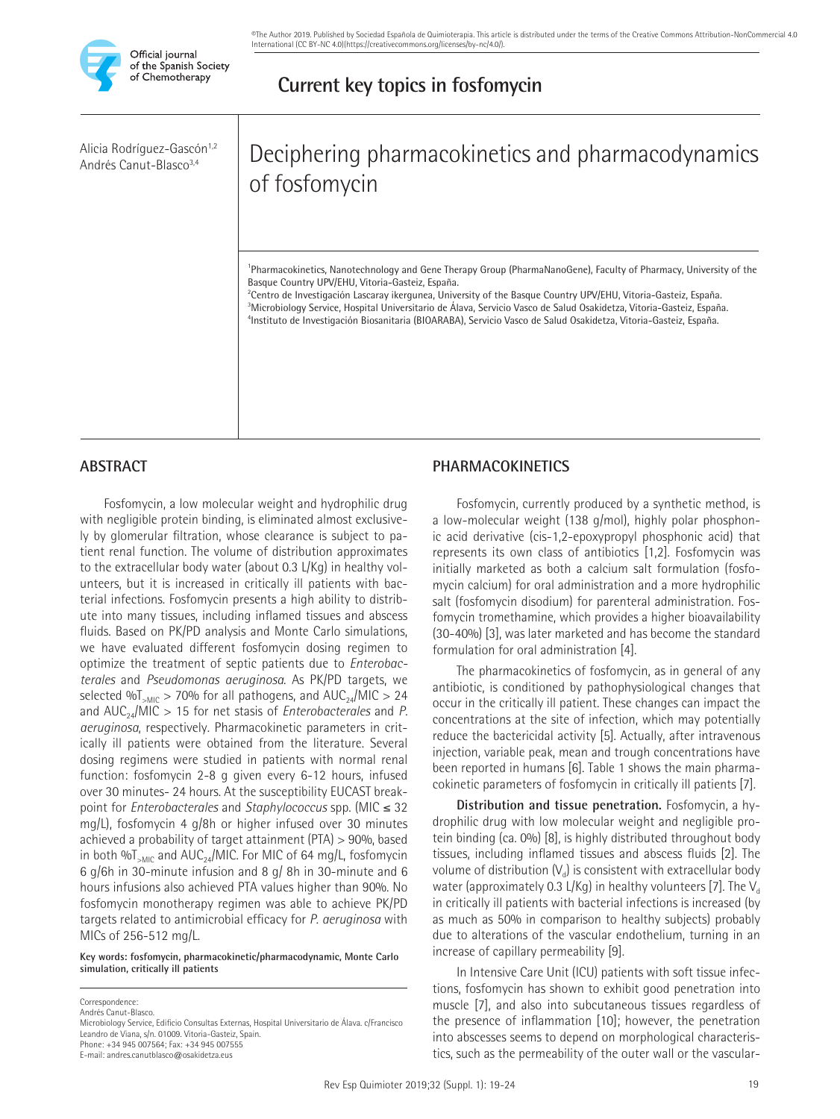

Alicia Rodríguez-Gascón<sup>1,2</sup> Andrés Canut-Blasco3,4

# Deciphering pharmacokinetics and pharmacodynamics of fosfomycin

**Current key topics in fosfomycin** 

1 Pharmacokinetics, Nanotechnology and Gene Therapy Group (PharmaNanoGene), Faculty of Pharmacy, University of the Basque Country UPV/EHU, Vitoria-Gasteiz, España.

2 Centro de Investigación Lascaray ikergunea, University of the Basque Country UPV/EHU, Vitoria-Gasteiz, España. 3 Microbiology Service, Hospital Universitario de Álava, Servicio Vasco de Salud Osakidetza, Vitoria-Gasteiz, España. 4 Instituto de Investigación Biosanitaria (BIOARABA), Servicio Vasco de Salud Osakidetza, Vitoria-Gasteiz, España.

# **ABSTRACT**

Fosfomycin, a low molecular weight and hydrophilic drug with negligible protein binding, is eliminated almost exclusively by glomerular filtration, whose clearance is subject to patient renal function. The volume of distribution approximates to the extracellular body water (about 0.3 L/Kg) in healthy volunteers, but it is increased in critically ill patients with bacterial infections. Fosfomycin presents a high ability to distribute into many tissues, including inflamed tissues and abscess fluids. Based on PK/PD analysis and Monte Carlo simulations, we have evaluated different fosfomycin dosing regimen to optimize the treatment of septic patients due to *Enterobacterales* and *Pseudomonas aeruginosa*. As PK/PD targets, we selected % $T_{\text{MIC}}$  > 70% for all pathogens, and AUC<sub>24</sub>/MIC > 24 and AUC<sub>24</sub>/MIC > 15 for net stasis of *Enterobacterales* and *P*. *aeruginosa*, respectively. Pharmacokinetic parameters in critically ill patients were obtained from the literature. Several dosing regimens were studied in patients with normal renal function: fosfomycin 2-8 g given every 6-12 hours, infused over 30 minutes- 24 hours. At the susceptibility EUCAST breakpoint for *Enterobacterales* and *Staphylococcus* spp. (MIC ≤ 32 mg/L), fosfomycin 4 g/8h or higher infused over 30 minutes achieved a probability of target attainment (PTA) > 90%, based in both % $T_{\text{SMIC}}$  and AUC<sub>24</sub>/MIC. For MIC of 64 mg/L, fosfomycin 6 g/6h in 30-minute infusion and 8 g/ 8h in 30-minute and 6 hours infusions also achieved PTA values higher than 90%. No fosfomycin monotherapy regimen was able to achieve PK/PD targets related to antimicrobial efficacy for *P. aeruginosa* with MICs of 256-512 mg/L.

**Key words: fosfomycin, pharmacokinetic/pharmacodynamic, Monte Carlo simulation, critically ill patients**

**Correspondence** Andrés Canut-Blasco.

# **PHARMACOKINETICS**

Fosfomycin, currently produced by a synthetic method, is a low-molecular weight (138 g/mol), highly polar phosphonic acid derivative (cis-1,2-epoxypropyl phosphonic acid) that represents its own class of antibiotics [1,2]. Fosfomycin was initially marketed as both a calcium salt formulation (fosfomycin calcium) for oral administration and a more hydrophilic salt (fosfomycin disodium) for parenteral administration. Fosfomycin tromethamine, which provides a higher bioavailability (30-40%) [3], was later marketed and has become the standard formulation for oral administration [4].

The pharmacokinetics of fosfomycin, as in general of any antibiotic, is conditioned by pathophysiological changes that occur in the critically ill patient. These changes can impact the concentrations at the site of infection, which may potentially reduce the bactericidal activity [5]. Actually, after intravenous injection, variable peak, mean and trough concentrations have been reported in humans [6]. Table 1 shows the main pharmacokinetic parameters of fosfomycin in critically ill patients [7].

**Distribution and tissue penetration.** Fosfomycin, a hydrophilic drug with low molecular weight and negligible protein binding (ca. 0%) [8], is highly distributed throughout body tissues, including inflamed tissues and abscess fluids [2]. The volume of distribution  $(V_d)$  is consistent with extracellular body water (approximately 0.3 L/Kg) in healthy volunteers [7]. The  $V_{d}$ in critically ill patients with bacterial infections is increased (by as much as 50% in comparison to healthy subjects) probably due to alterations of the vascular endothelium, turning in an increase of capillary permeability [9].

In Intensive Care Unit (ICU) patients with soft tissue infections, fosfomycin has shown to exhibit good penetration into muscle [7], and also into subcutaneous tissues regardless of the presence of inflammation [10]; however, the penetration into abscesses seems to depend on morphological characteristics, such as the permeability of the outer wall or the vascular-

Microbiology Service, Edificio Consultas Externas, Hospital Universitario de Álava. c/Francisco Leandro de Viana, s/n. 01009. Vitoria-Gasteiz, Spain. Phone: +34 945 007564; Fax: +34 945 007555

E-mail: andres.canutblasco@osakidetza.eus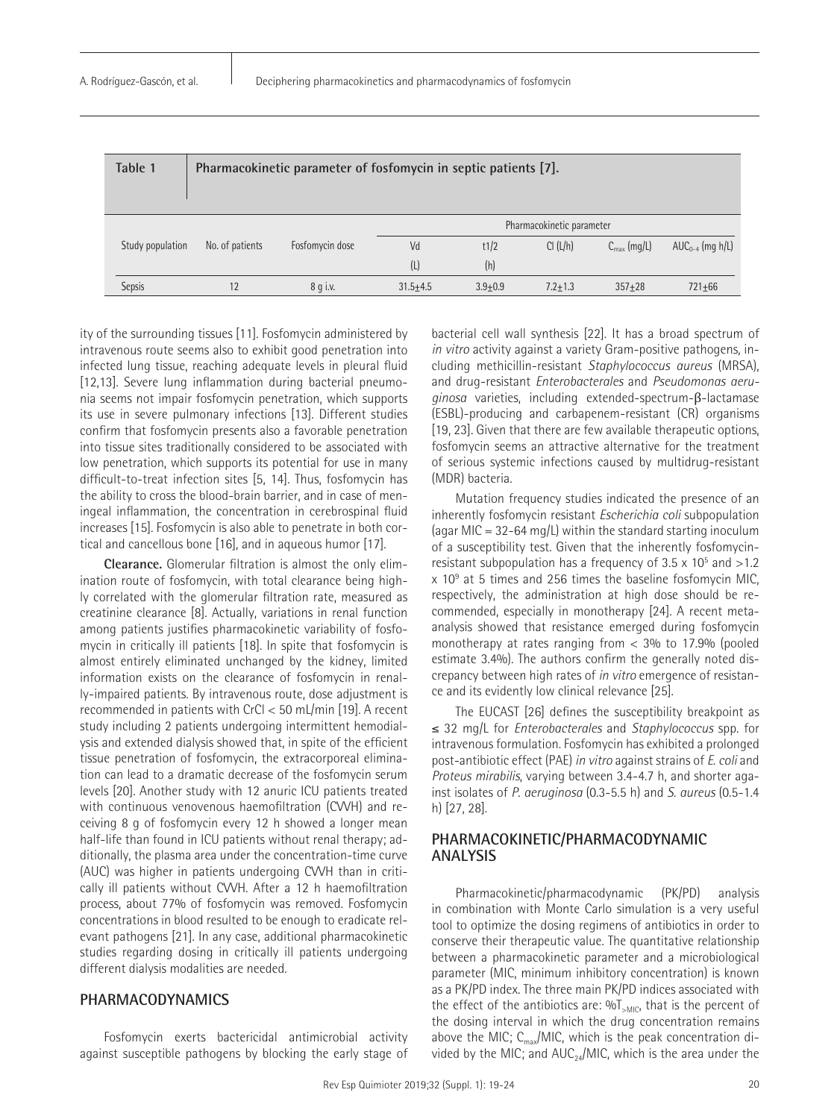| Table 1          |                 | Pharmacokinetic parameter of fosfomycin in septic patients [7]. |                           |             |             |                         |                      |  |
|------------------|-----------------|-----------------------------------------------------------------|---------------------------|-------------|-------------|-------------------------|----------------------|--|
|                  |                 |                                                                 | Pharmacokinetic parameter |             |             |                         |                      |  |
| Study population | No. of patients | Fosfomycin dose                                                 | Vd                        | t1/2        | Cl (L/h)    | $C_{\text{max}}$ (mg/L) | $AUC_{0-4}$ (mg h/L) |  |
|                  |                 |                                                                 | (L)                       | (h)         |             |                         |                      |  |
| <b>Sepsis</b>    | 12              | $8q$ i.v.                                                       | $31.5 + 4.5$              | $3.9 + 0.9$ | $7.2 + 1.3$ | $357 + 28$              | $721 + 66$           |  |

ity of the surrounding tissues [11]. Fosfomycin administered by intravenous route seems also to exhibit good penetration into infected lung tissue, reaching adequate levels in pleural fluid [12,13]. Severe lung inflammation during bacterial pneumonia seems not impair fosfomycin penetration, which supports its use in severe pulmonary infections [13]. Different studies confirm that fosfomycin presents also a favorable penetration into tissue sites traditionally considered to be associated with low penetration, which supports its potential for use in many difficult-to-treat infection sites [5, 14]. Thus, fosfomycin has the ability to cross the blood-brain barrier, and in case of meningeal inflammation, the concentration in cerebrospinal fluid increases [15]. Fosfomycin is also able to penetrate in both cortical and cancellous bone [16], and in aqueous humor [17].

**Clearance.** Glomerular filtration is almost the only elimination route of fosfomycin, with total clearance being highly correlated with the glomerular filtration rate, measured as creatinine clearance [8]. Actually, variations in renal function among patients justifies pharmacokinetic variability of fosfomycin in critically ill patients [18]. In spite that fosfomycin is almost entirely eliminated unchanged by the kidney, limited information exists on the clearance of fosfomycin in renally-impaired patients. By intravenous route, dose adjustment is recommended in patients with CrCl < 50 mL/min [19]. A recent study including 2 patients undergoing intermittent hemodialysis and extended dialysis showed that, in spite of the efficient tissue penetration of fosfomycin, the extracorporeal elimination can lead to a dramatic decrease of the fosfomycin serum levels [20]. Another study with 12 anuric ICU patients treated with continuous venovenous haemofiltration (CVVH) and receiving 8 g of fosfomycin every 12 h showed a longer mean half-life than found in ICU patients without renal therapy; additionally, the plasma area under the concentration-time curve (AUC) was higher in patients undergoing CVVH than in critically ill patients without CVVH. After a 12 h haemofiltration process, about 77% of fosfomycin was removed. Fosfomycin concentrations in blood resulted to be enough to eradicate relevant pathogens [21]. In any case, additional pharmacokinetic studies regarding dosing in critically ill patients undergoing different dialysis modalities are needed.

# **PHARMACODYNAMICS**

Fosfomycin exerts bactericidal antimicrobial activity against susceptible pathogens by blocking the early stage of bacterial cell wall synthesis [22]. It has a broad spectrum of *in vitro* activity against a variety Gram-positive pathogens, including methicillin-resistant *Staphylococcus aureus* (MRSA), and drug-resistant *Enterobacterales* and *Pseudomonas aeruginosa* varieties, including extended-spectrum-β-lactamase (ESBL)-producing and carbapenem-resistant (CR) organisms [19, 23]. Given that there are few available therapeutic options, fosfomycin seems an attractive alternative for the treatment of serious systemic infections caused by multidrug-resistant (MDR) bacteria.

Mutation frequency studies indicated the presence of an inherently fosfomycin resistant *Escherichia coli* subpopulation (agar MIC =  $32-64$  mg/L) within the standard starting inoculum of a susceptibility test. Given that the inherently fosfomycinresistant subpopulation has a frequency of 3.5  $\times$  10<sup>5</sup> and >1.2  $\times$  10 $^9$  at 5 times and 256 times the baseline fosfomycin MIC, respectively, the administration at high dose should be recommended, especially in monotherapy [24]. A recent metaanalysis showed that resistance emerged during fosfomycin monotherapy at rates ranging from  $<$  3% to 17.9% (pooled estimate 3.4%). The authors confirm the generally noted discrepancy between high rates of *in vitro* emergence of resistance and its evidently low clinical relevance [25].

The EUCAST [26] defines the susceptibility breakpoint as ≤ 32 mg/L for *Enterobacterales* and *Staphylococcus* spp. for intravenous formulation. Fosfomycin has exhibited a prolonged post-antibiotic effect (PAE) *in vitro* against strains of *E. coli* and *Proteus mirabilis*, varying between 3.4-4.7 h, and shorter against isolates of *P. aeruginosa* (0.3-5.5 h) and *S. aureus* (0.5-1.4 h) [27, 28].

# **PHARMACOKINETIC/PHARMACODYNAMIC ANALYSIS**

Pharmacokinetic/pharmacodynamic (PK/PD) analysis in combination with Monte Carlo simulation is a very useful tool to optimize the dosing regimens of antibiotics in order to conserve their therapeutic value. The quantitative relationship between a pharmacokinetic parameter and a microbiological parameter (MIC, minimum inhibitory concentration) is known as a PK/PD index. The three main PK/PD indices associated with the effect of the antibiotics are:  $\%T_{\text{MIC}}$ , that is the percent of the dosing interval in which the drug concentration remains above the MIC;  $C_{\text{max}}/MIC$ , which is the peak concentration divided by the MIC; and AUC $_{24}$ /MIC, which is the area under the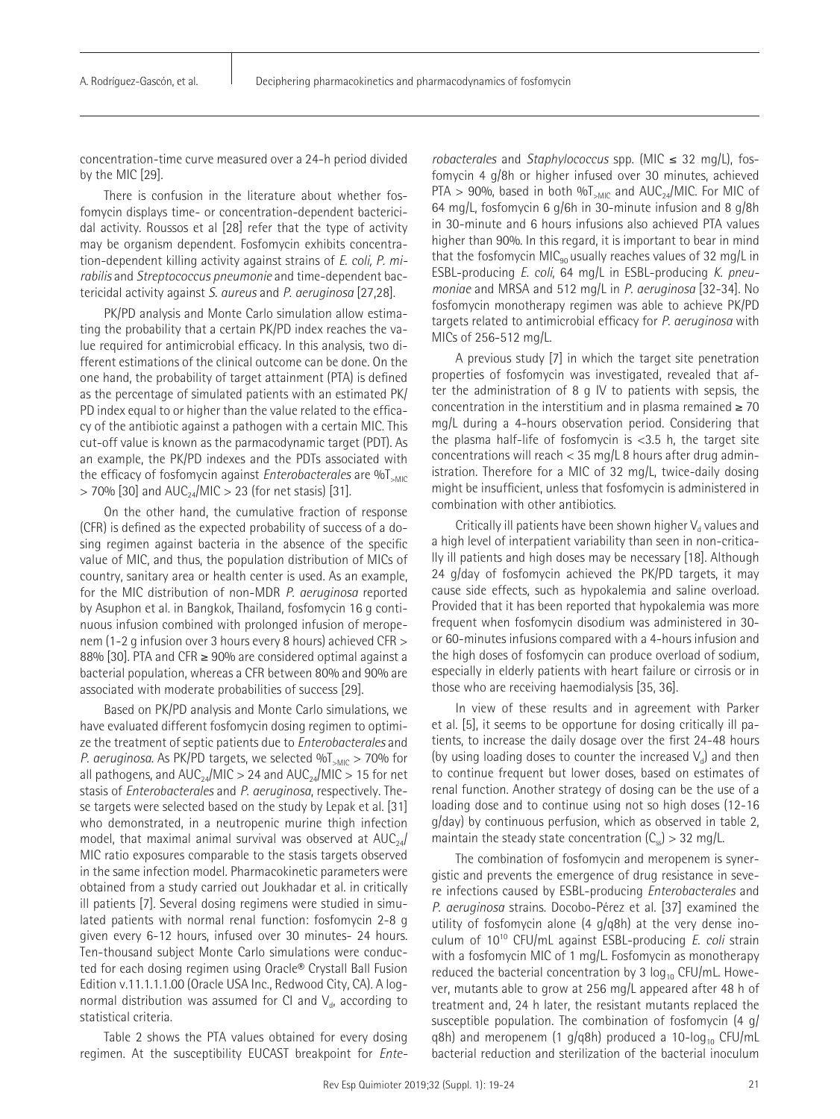concentration-time curve measured over a 24-h period divided by the MIC [29].

There is confusion in the literature about whether fosfomycin displays time- or concentration-dependent bactericidal activity. Roussos et al [28] refer that the type of activity may be organism dependent. Fosfomycin exhibits concentration-dependent killing activity against strains of *E. coli, P. mirabilis* and *Streptococcus pneumonie* and time-dependent bactericidal activity against *S. aureus* and *P. aeruginosa* [27,28].

PK/PD analysis and Monte Carlo simulation allow estimating the probability that a certain PK/PD index reaches the value required for antimicrobial efficacy. In this analysis, two different estimations of the clinical outcome can be done. On the one hand, the probability of target attainment (PTA) is defined as the percentage of simulated patients with an estimated PK/ PD index equal to or higher than the value related to the efficacy of the antibiotic against a pathogen with a certain MIC. This cut-off value is known as the parmacodynamic target (PDT). As an example, the PK/PD indexes and the PDTs associated with the efficacy of fosfomycin against *Enterobacterales* are %T<sub>>MIC</sub>  $>$  70% [30] and AUC<sub>24</sub>/MIC  $>$  23 (for net stasis) [31].

On the other hand, the cumulative fraction of response (CFR) is defined as the expected probability of success of a dosing regimen against bacteria in the absence of the specific value of MIC, and thus, the population distribution of MICs of country, sanitary area or health center is used. As an example, for the MIC distribution of non-MDR *P. aeruginosa* reported by Asuphon et al. in Bangkok, Thailand, fosfomycin 16 g continuous infusion combined with prolonged infusion of meropenem (1-2 g infusion over 3 hours every 8 hours) achieved CFR > 88% [30]. PTA and CFR ≥ 90% are considered optimal against a bacterial population, whereas a CFR between 80% and 90% are associated with moderate probabilities of success [29].

Based on PK/PD analysis and Monte Carlo simulations, we have evaluated different fosfomycin dosing regimen to optimize the treatment of septic patients due to *Enterobacterales* and *P. aeruginosa*. As PK/PD targets, we selected %T<sub>>MIC</sub> > 70% for all pathogens, and  $AUC_{24}/MIC > 24$  and  $AUC_{24}/MIC > 15$  for net stasis of *Enterobacterales* and *P. aeruginosa*, respectively. These targets were selected based on the study by Lepak et al. [31] who demonstrated, in a neutropenic murine thigh infection model, that maximal animal survival was observed at  $AUC_{24}/$ MIC ratio exposures comparable to the stasis targets observed in the same infection model. Pharmacokinetic parameters were obtained from a study carried out Joukhadar et al. in critically ill patients [7]. Several dosing regimens were studied in simulated patients with normal renal function: fosfomycin 2-8 g given every 6-12 hours, infused over 30 minutes- 24 hours. Ten-thousand subject Monte Carlo simulations were conducted for each dosing regimen using Oracle® Crystall Ball Fusion Edition v.11.1.1.1.00 (Oracle USA Inc., Redwood City, CA). A lognormal distribution was assumed for CI and  $V_{di}$  according to statistical criteria.

Table 2 shows the PTA values obtained for every dosing regimen. At the susceptibility EUCAST breakpoint for *Ente-*

*robacterales* and *Staphylococcus* spp. (MIC ≤ 32 mg/L), fosfomycin 4 g/8h or higher infused over 30 minutes, achieved PTA > 90%, based in both % $T_{\text{MIC}}$  and AUC<sub>24</sub>/MIC. For MIC of 64 mg/L, fosfomycin 6 g/6h in 30-minute infusion and 8 g/8h in 30-minute and 6 hours infusions also achieved PTA values higher than 90%. In this regard, it is important to bear in mind that the fosfomycin MIC<sub>90</sub> usually reaches values of 32 mg/L in ESBL-producing *E. coli*, 64 mg/L in ESBL-producing *K. pneumoniae* and MRSA and 512 mg/L in *P. aeruginosa* [32-34]. No fosfomycin monotherapy regimen was able to achieve PK/PD targets related to antimicrobial efficacy for *P. aeruginosa* with MICs of 256-512 mg/L.

A previous study [7] in which the target site penetration properties of fosfomycin was investigated, revealed that after the administration of 8 g IV to patients with sepsis, the concentration in the interstitium and in plasma remained  $\geq 70$ mg/L during a 4-hours observation period. Considering that the plasma half-life of fosfomycin is <3.5 h, the target site concentrations will reach < 35 mg/L 8 hours after drug administration. Therefore for a MIC of 32 mg/L, twice-daily dosing might be insufficient, unless that fosfomycin is administered in combination with other antibiotics.

Critically ill patients have been shown higher  $V_d$  values and a high level of interpatient variability than seen in non-critically ill patients and high doses may be necessary [18]. Although 24 g/day of fosfomycin achieved the PK/PD targets, it may cause side effects, such as hypokalemia and saline overload. Provided that it has been reported that hypokalemia was more frequent when fosfomycin disodium was administered in 30 or 60-minutes infusions compared with a 4-hours infusion and the high doses of fosfomycin can produce overload of sodium, especially in elderly patients with heart failure or cirrosis or in those who are receiving haemodialysis [35, 36].

In view of these results and in agreement with Parker et al. [5], it seems to be opportune for dosing critically ill patients, to increase the daily dosage over the first 24-48 hours (by using loading doses to counter the increased  $V<sub>d</sub>$ ) and then to continue frequent but lower doses, based on estimates of renal function. Another strategy of dosing can be the use of a loading dose and to continue using not so high doses (12-16 g/day) by continuous perfusion, which as observed in table 2, maintain the steady state concentration  $(C_{ss}) > 32$  mg/L.

The combination of fosfomycin and meropenem is synergistic and prevents the emergence of drug resistance in severe infections caused by ESBL-producing *Enterobacterales* and *P. aeruginosa* strains. Docobo-Pérez et al. [37] examined the utility of fosfomycin alone (4 g/q8h) at the very dense inoculum of 1010 CFU/mL against ESBL-producing *E. coli* strain with a fosfomycin MIC of 1 mg/L. Fosfomycin as monotherapy reduced the bacterial concentration by 3  $log_{10}$  CFU/mL. However, mutants able to grow at 256 mg/L appeared after 48 h of treatment and, 24 h later, the resistant mutants replaced the susceptible population. The combination of fosfomycin (4 g/ q8h) and meropenem (1 g/q8h) produced a 10-log<sub>10</sub> CFU/mL bacterial reduction and sterilization of the bacterial inoculum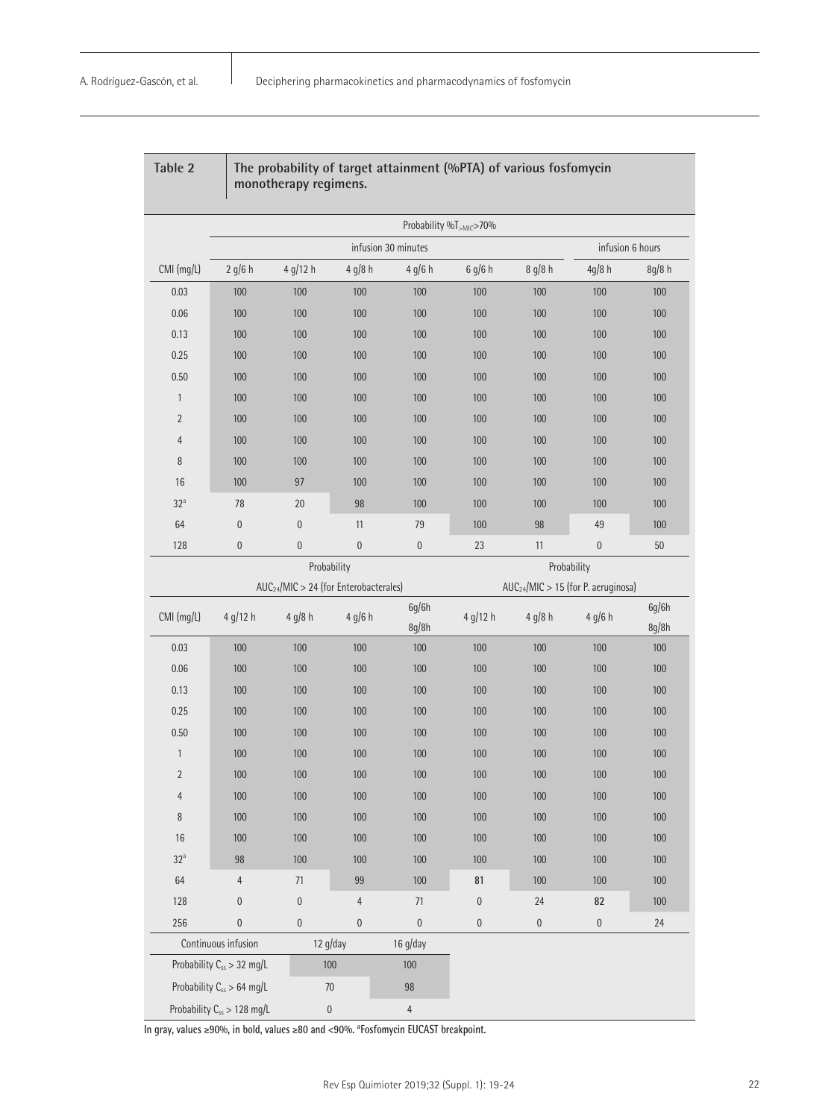|                                        |                     | monotherapy regimens.                      |                  |                     |                  |                  |                                                 |                |
|----------------------------------------|---------------------|--------------------------------------------|------------------|---------------------|------------------|------------------|-------------------------------------------------|----------------|
|                                        |                     |                                            |                  |                     |                  |                  |                                                 |                |
|                                        |                     |                                            |                  | infusion 30 minutes |                  |                  | infusion 6 hours                                |                |
| CMI (mg/L)                             | $2$ g/6 h           | 4 g/12 h                                   | 4 g/8 h          | 4 g/6 h             | 6 g/6 h          | 8 g/8 h          | 4g/8h                                           | 8g/8 h         |
| 0.03                                   | 100                 | 100                                        | 100              | 100                 | 100              | 100              | 100                                             | 100            |
| 0.06                                   | 100                 | 100                                        | 100              | 100                 | 100              | 100              | 100                                             | 100            |
| 0.13                                   | 100                 | 100                                        | 100              | 100                 | 100              | 100              | 100                                             | 100            |
| 0.25                                   | 100                 | 100                                        | 100              | 100                 | 100              | 100              | 100                                             | 100            |
| 0.50                                   | 100                 | 100                                        | 100              | 100                 | 100              | 100              | 100                                             | 100            |
| $\mathbf{1}$                           | 100                 | 100                                        | 100              | 100                 | 100              | 100              | 100                                             | 100            |
| $\overline{2}$                         | 100                 | 100                                        | 100              | 100                 | 100              | 100              | 100                                             | 100            |
| 4                                      | 100                 | 100                                        | 100              | 100                 | 100              | 100              | 100                                             | 100            |
| 8                                      | 100                 | 100                                        | 100              | 100                 | 100              | 100              | 100                                             | 100            |
| 16                                     | 100                 | 97                                         | 100              | 100                 | 100              | 100              | 100                                             | 100            |
| $32^a$                                 | 78                  | 20                                         | 98               | 100                 | 100              | 100              | 100                                             | 100            |
| 64                                     | $\mathbf{0}$        | $\boldsymbol{0}$                           | 11               | 79                  | 100              | 98               | 49                                              | 100            |
| 128                                    | $\mathbf{0}$        | $\boldsymbol{0}$                           | $\boldsymbol{0}$ | $\boldsymbol{0}$    | 23               | 11               | $\boldsymbol{0}$                                | 50             |
|                                        | Probability         |                                            |                  |                     | Probability      |                  |                                                 |                |
|                                        |                     | $AUC_{24}/MIC > 24$ (for Enterobacterales) |                  |                     |                  |                  | AUC <sub>24</sub> /MIC > 15 (for P. aeruginosa) |                |
| CMI (mg/L)                             | 4 g/12 h            | $4$ g/8 h                                  | 4 g/6 h          | 6g/6h<br>8g/8h      | 4 g/12 h         | 4 g/8 h          | 4 g/6 h                                         | 6g/6h<br>8g/8h |
| 0.03                                   | 100                 | 100                                        | 100              | 100                 | 100              | 100              | 100                                             | 100            |
| 0.06                                   | 100                 | 100                                        | 100              | 100                 | 100              | 100              | 100                                             | 100            |
| 0.13                                   | 100                 | 100                                        | 100              | 100                 | 100              | 100              | 100                                             | 100            |
| 0.25                                   | 100                 | 100                                        | 100              | 100                 | 100              | 100              | 100                                             | 100            |
| 0.50                                   | 100                 | 100                                        | 100              | 100                 | 100              | 100              | 100                                             | 100            |
| $\mathbf{1}$                           | 100                 | 100                                        | 100              | 100                 | 100              | 100              | 100                                             | 100            |
| $\overline{2}$                         | 100                 | 100                                        | 100              | 100                 | 100              | 100              | 100                                             | 100            |
| $\overline{4}$                         | 100                 | 100                                        | 100              | 100                 | 100              | 100              | 100                                             | 100            |
| 8                                      | $100\,$             | 100                                        | 100              | 100                 | 100              | 100              | 100                                             | 100            |
| 16                                     | 100                 | 100                                        | 100              | 100                 | 100              | 100              | 100                                             | 100            |
| $32^a$                                 | 98                  | 100                                        | 100              | 100                 | 100              | 100              | 100                                             | 100            |
| 64                                     | $\overline{4}$      | 71                                         | 99               | 100                 | 81               | 100              | 100                                             | 100            |
| 128                                    | $\boldsymbol{0}$    | $\boldsymbol{0}$                           | $\overline{4}$   | 71                  | $\boldsymbol{0}$ | 24               | 82                                              | 100            |
| 256                                    | $\overline{0}$      | $\boldsymbol{0}$                           | $\mathbf 0$      | $\boldsymbol{0}$    | $\boldsymbol{0}$ | $\boldsymbol{0}$ | $\boldsymbol{0}$                                | 24             |
|                                        | Continuous infusion |                                            | $12$ g/day       | $16$ g/day          |                  |                  |                                                 |                |
| Probability C <sub>ss</sub> > 32 mg/L  |                     | 100                                        |                  | 100                 |                  |                  |                                                 |                |
| Probability C <sub>ss</sub> > 64 mg/L  |                     | $70\,$                                     |                  | $98\,$              |                  |                  |                                                 |                |
| Probability C <sub>ss</sub> > 128 mg/L |                     | $\boldsymbol{0}$                           |                  | $\overline{4}$      |                  |                  |                                                 |                |

**In gray, values** ≥**90%, in bold, values** ≥**80 and <90%. a Fosfomycin EUCAST breakpoint.**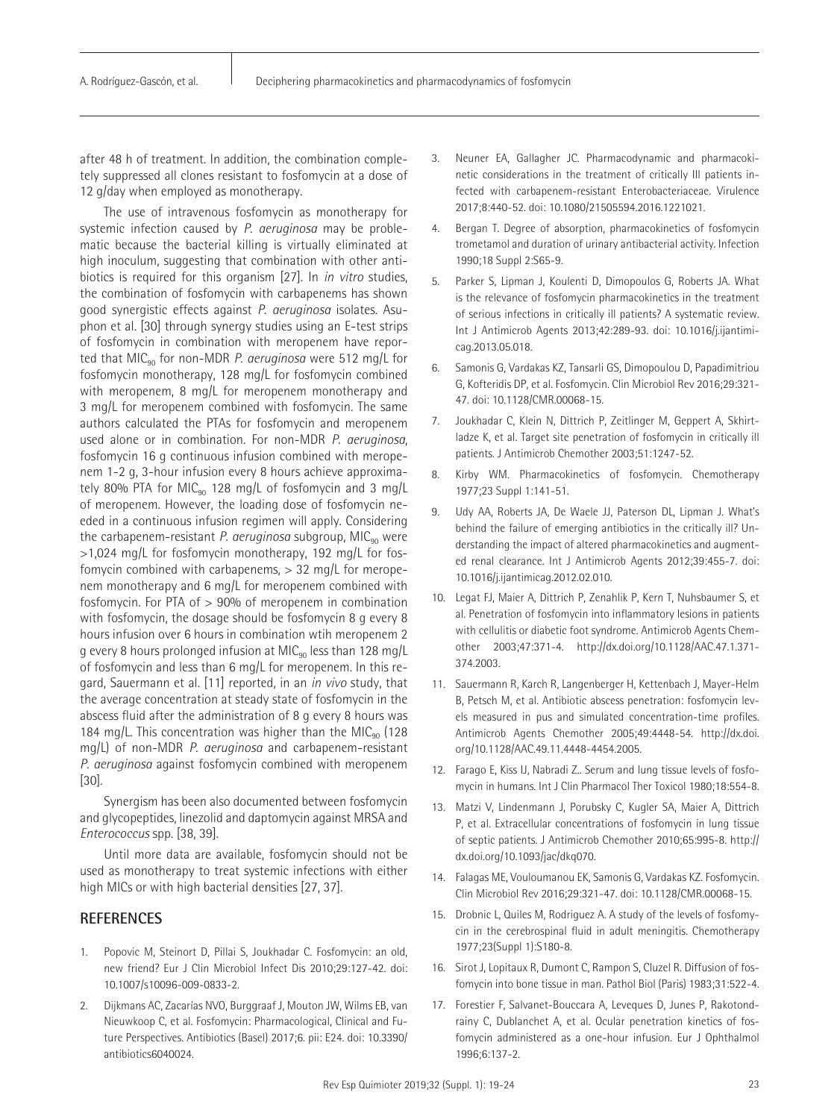after 48 h of treatment. In addition, the combination completely suppressed all clones resistant to fosfomycin at a dose of 12 g/day when employed as monotherapy.

The use of intravenous fosfomycin as monotherapy for systemic infection caused by *P. aeruginosa* may be problematic because the bacterial killing is virtually eliminated at high inoculum, suggesting that combination with other antibiotics is required for this organism [27]. In *in vitro* studies, the combination of fosfomycin with carbapenems has shown good synergistic effects against *P. aeruginosa* isolates. Asuphon et al. [30] through synergy studies using an E-test strips of fosfomycin in combination with meropenem have reported that MIC<sub>90</sub> for non-MDR *P. aeruginosa* were 512 mg/L for fosfomycin monotherapy, 128 mg/L for fosfomycin combined with meropenem, 8 mg/L for meropenem monotherapy and 3 mg/L for meropenem combined with fosfomycin. The same authors calculated the PTAs for fosfomycin and meropenem used alone or in combination. For non-MDR *P. aeruginosa*, fosfomycin 16 g continuous infusion combined with meropenem 1-2 g, 3-hour infusion every 8 hours achieve approximately 80% PTA for MIC $_{90}$  128 mg/L of fosfomycin and 3 mg/L of meropenem. However, the loading dose of fosfomycin needed in a continuous infusion regimen will apply. Considering the carbapenem-resistant *P. aeruginosa* subgroup, MIC<sub>90</sub> were >1,024 mg/L for fosfomycin monotherapy, 192 mg/L for fosfomycin combined with carbapenems,  $> 32$  mg/L for meropenem monotherapy and 6 mg/L for meropenem combined with fosfomycin. For PTA of > 90% of meropenem in combination with fosfomycin, the dosage should be fosfomycin 8 g every 8 hours infusion over 6 hours in combination wtih meropenem 2 g every 8 hours prolonged infusion at MIC<sub>90</sub> less than 128 mg/L of fosfomycin and less than 6 mg/L for meropenem. In this regard, Sauermann et al. [11] reported, in an *in vivo* study, that the average concentration at steady state of fosfomycin in the abscess fluid after the administration of 8 g every 8 hours was 184 mg/L. This concentration was higher than the MIC $_{90}$  (128 mg/L) of non-MDR *P. aeruginosa* and carbapenem-resistant *P. aeruginosa* against fosfomycin combined with meropenem [30].

Synergism has been also documented between fosfomycin and glycopeptides, linezolid and daptomycin against MRSA and *Enterococcus* spp. [38, 39].

Until more data are available, fosfomycin should not be used as monotherapy to treat systemic infections with either high MICs or with high bacterial densities [27, 37].

# **REFERENCES**

- 1. Popovic M, Steinort D, Pillai S, Joukhadar C. Fosfomycin: an old, new friend? Eur J Clin Microbiol Infect Dis 2010;29:127-42. doi: 10.1007/s10096-009-0833-2.
- 2. Dijkmans AC, Zacarías NVO, Burggraaf J, Mouton JW, Wilms EB, van Nieuwkoop C, et al. Fosfomycin: Pharmacological, Clinical and Future Perspectives. Antibiotics (Basel) 2017;6. pii: E24. doi: 10.3390/ antibiotics6040024.
- 3. Neuner EA, Gallagher JC. Pharmacodynamic and pharmacokinetic considerations in the treatment of critically Ill patients infected with carbapenem-resistant Enterobacteriaceae. Virulence 2017;8:440-52. doi: 10.1080/21505594.2016.1221021.
- 4. Bergan T. Degree of absorption, pharmacokinetics of fosfomycin trometamol and duration of urinary antibacterial activity. Infection 1990;18 Suppl 2:S65-9.
- 5. Parker S, Lipman J, Koulenti D, Dimopoulos G, Roberts JA. What is the relevance of fosfomycin pharmacokinetics in the treatment of serious infections in critically ill patients? A systematic review. Int J Antimicrob Agents 2013;42:289-93. doi: 10.1016/j.ijantimicag.2013.05.018.
- 6. Samonis G, Vardakas KZ, Tansarli GS, Dimopoulou D, Papadimitriou G, Kofteridis DP, et al. Fosfomycin. Clin Microbiol Rev 2016;29:321- 47. doi: 10.1128/CMR.00068-15.
- 7. Joukhadar C, Klein N, Dittrich P, Zeitlinger M, Geppert A, Skhirtladze K, et al. Target site penetration of fosfomycin in critically ill patients. J Antimicrob Chemother 2003;51:1247-52.
- 8. Kirby WM. Pharmacokinetics of fosfomycin. Chemotherapy 1977;23 Suppl 1:141-51.
- 9. Udy AA, Roberts JA, De Waele JJ, Paterson DL, Lipman J. What's behind the failure of emerging antibiotics in the critically ill? Understanding the impact of altered pharmacokinetics and augmented renal clearance. Int J Antimicrob Agents 2012;39:455-7. doi: 10.1016/j.ijantimicag.2012.02.010.
- 10. Legat FJ, Maier A, Dittrich P, Zenahlik P, Kern T, Nuhsbaumer S, et al. Penetration of fosfomycin into inflammatory lesions in patients with cellulitis or diabetic foot syndrome. Antimicrob Agents Chemother 2003;47:371-4. http://dx.doi.org/10.1128/AAC.47.1.371- 374.2003.
- 11. Sauermann R, Karch R, Langenberger H, Kettenbach J, Mayer-Helm B, Petsch M, et al. Antibiotic abscess penetration: fosfomycin levels measured in pus and simulated concentration-time profiles. Antimicrob Agents Chemother 2005;49:4448-54. http://dx.doi. org/10.1128/AAC.49.11.4448-4454.2005.
- 12. Farago E, Kiss IJ, Nabradi Z.. Serum and lung tissue levels of fosfomycin in humans. Int J Clin Pharmacol Ther Toxicol 1980;18:554-8.
- 13. Matzi V, Lindenmann J, Porubsky C, Kugler SA, Maier A, Dittrich P, et al. Extracellular concentrations of fosfomycin in lung tissue of septic patients. J Antimicrob Chemother 2010;65:995-8. http:// dx.doi.org/10.1093/jac/dkq070.
- 14. Falagas ME, Vouloumanou EK, Samonis G, Vardakas KZ. Fosfomycin. Clin Microbiol Rev 2016;29:321-47. doi: 10.1128/CMR.00068-15.
- 15. Drobnic L, Quiles M, Rodriguez A. A study of the levels of fosfomycin in the cerebrospinal fluid in adult meningitis. Chemotherapy 1977;23(Suppl 1):S180-8.
- 16. Sirot J, Lopitaux R, Dumont C, Rampon S, Cluzel R. Diffusion of fosfomycin into bone tissue in man. Pathol Biol (Paris) 1983;31:522-4.
- 17. Forestier F, Salvanet-Bouccara A, Leveques D, Junes P, Rakotondrainy C, Dublanchet A, et al. Ocular penetration kinetics of fosfomycin administered as a one-hour infusion. Eur J Ophthalmol 1996;6:137-2.